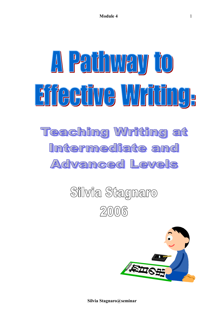# A Pathway to Eifeeüve Wriüng, **Teaching Writing at** Intermediate and ACNamced Levels

# Silvia Stagnaro  $2006$



**Silvia Stagnaro@seminar**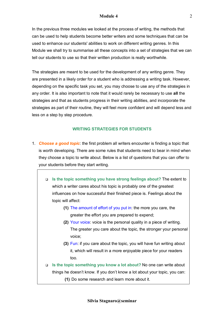In the previous three modules we looked at the process of writing, the methods that can be used to help students become better writers and some techniques that can be used to enhance our students' abilities to work on different writing genres. In this Module we shall try to summarise all these concepts into a set of strategies that we can tell our students to use so that their written production is really worthwhile.

The strategies are meant to be used for the development of any writing genre. They are presented in a likely order for a student who is addressing a writing task. However, depending on the specific task you set, you may choose to use any of the strategies in any order. It is also important to note that it would rarely be necessary to use **all** the strategies and that as students progress in their writing abilities, and incorporate the strategies as part of their routine, they will feel more confident and will depend less and less on a step by step procedure.

#### **WRITING STRATEGIES FOR STUDENTS**

- 1. *Choose a good topic*: the first problem all writers encounter is finding a topic that is worth developing. There are some rules that students need to bear in mind when they choose a topic to write about. Below is a list of questions that you can offer to your students before they start writing.
	- ! **Is the topic something you have strong feelings about?** The extent to which a writer cares about his topic is probably one of the greatest influences on how successful their finished piece is. Feelings about the topic will affect:
		- **(1)** The amount of effort of you put in: the more you care, the greater the effort you are prepared to expend;
		- **(2)** Your voice: voice is the personal quality in a piece of writing. The greater you care about the topic, the stronger your personal voice;
		- **(3)** Fun: if you care about the topic, you will have fun writing about it, which will result in a more enjoyable piece for your readers too.
	- ! **Is the topic something you know a lot about?** No one can write about things he doesn't know. If you don't know a lot about your topic, you can:
		- **(1)** Do some research and learn more about it.

 $\mathfrak{D}$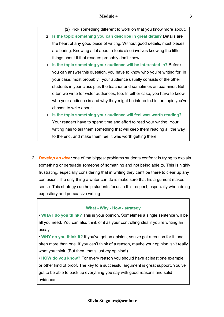**(2)** Pick something different to work on that you know more about.

- ! **Is the topic something you can describe in great detail?** Details are the heart of any good piece of writing. Without good details, most pieces are boring. Knowing a lot about a topic also involves knowing the little things about it that readers probably don't know.
- ! **Is the topic something your audience will be interested in?** Before you can answer this question, you have to know who you're writing for. In your case, most probably, your audience usually consists of the other students in your class plus the teacher and sometimes an examiner. But often we write for wider audiences, too. In either case, you have to know who your audience is and why they might be interested in the topic you've chosen to write about.
- ! **Is the topic something your audience will feel was worth reading?** Your readers have to spend time and effort to read your writing. Your writing has to tell them something that will keep them reading all the way to the end, and make them feel it was worth getting there.
- 2. *Develop an idea:* one of the biggest problems students confront is trying to explain something or persuade someone of something and not being able to. This is highly frustrating, especially considering that in writing they can't be there to clear up any confusion. The only thing a writer can do is make sure that his argument makes sense. This strategy can help students focus in this respect, especially when doing expository and persuasive writing.

#### **What - Why - How - strategy**

ï **WHAT do you think?** This is your opinion. Sometimes a single sentence will be all you need. You can also think of it as your controlling idea if youíre writing an essay.

**• WHY do you think it?** If you've got an opinion, you've got a reason for it, and often more than one. If you canít think of a reason, maybe your opinion isnít really what you think. (But then, that's just *my* opinion!)

ï **HOW do you know?** For every reason you should have at least one example or other kind of proof. The key to a successful argument is great support. Youíve got to be able to back up everything you say with good reasons and solid evidence.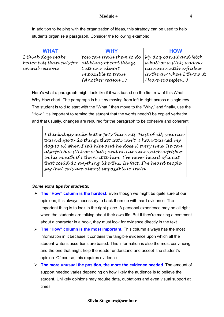In addition to helping with the organization of ideas, this strategy can be used to help students organise a paragraph. Consider the following example:

| <b>WHAT</b>               | <b>WHY</b>                                                | <b>HOW</b>                  |
|---------------------------|-----------------------------------------------------------|-----------------------------|
| I think dogs make         | You can train them to do $\vert$ My dog can sit and fetch |                             |
| better pets than cats for | all kinds of cool things.                                 | a ball or a stick, and he   |
| several reasons.          | Cats are almost                                           | can even catch a frísbee    |
|                           | impossible to train.                                      | in the air when I throw it. |
|                           | (Another reason)                                          | (More examples)             |

Here's what a paragraph might look like if it was based on the first row of this What-Why-How chart. The paragraph is built by moving from left to right across a single row. The student is told to start with the "What," then move to the "Why," and finally, use the "How." It's important to remind the student that the words needn't be copied verbatim and that usually, changes are required for the paragraph to be cohesive and coherent:

I think dogs make better pets than cats. First of all, you can train dogs to do things that cat's can't. I have trained my dog to sit when I tell him and he does it every time. He can also fetch a stick or a ball, and he can even catch a frisbee in his mouth if I throw it to him. I've never heard of a cat that could do anything like this. In fact, Iíve heard people say that cats are almost impossible to train.

# *Some extra tips for students:*

- **The "How" column is the hardest.** Even though we might be quite sure of our opinions, it is always necessary to back them up with hard evidence. The important thing is to look in the right place. A personal experience may be all right when the students are talking about their own life. But if they're making a comment about a character in a book, they must look for evidence directly in the text.
- $\triangleright$  **The "How" column is the most important.** This column always has the most information in it because it contains the tangible evidence upon which all the student-writer's assertions are based. This information is also the most convincing and the one that might help the reader understand and accept the studentís opinion. Of course, this requires evidence.
- $\triangleright$  **The more unusual the position, the more the evidence needed.** The amount of support needed varies depending on how likely the audience is to believe the student. Unlikely opinions may require data, quotations and even visual support at times.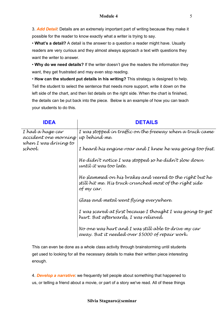3. *Add Detail*: Details are an extremely important part of writing because they make it possible for the reader to know exactly what a writer is trying to say.

• What's a detail? A detail is the answer to a question a reader might have. Usually readers are very curious and they almost always approach a text with questions they want the writer to answer.

• Why do we need details? If the writer doesn't give the readers the information they want, they get frustrated and may even stop reading.

**· How can the student put details in his writing?** This strategy is designed to help. Tell the student to select the sentence that needs more support, write it down on the left side of the chart, and then list details on the right side. When the chart is finished, the details can be put back into the piece. Below is an example of how you can teach your students to do this.

| <b>IDEA</b>                                                       | <b>DETAILS</b>                                                                                                                   |  |
|-------------------------------------------------------------------|----------------------------------------------------------------------------------------------------------------------------------|--|
| I had a huge car<br>accident one morning<br>when I was driving to | I was stopped in traffic on the freeway when a truck came<br>up behínd me.                                                       |  |
| school.                                                           | I heard hís engíne roar and I knew he was going too fast.                                                                        |  |
|                                                                   | He dídn't notice I was stopped so he dídn't slow down<br>until it was too late.                                                  |  |
|                                                                   | He slammed on his brakes and veered to the right but he<br>still hít me. Hís truck crunched most of the ríght síde<br>of my car. |  |
|                                                                   | Glass and metal went flying everywhere.                                                                                          |  |
|                                                                   | I was scared at first because I thought I was going to get<br>hurt. But afterwards, I was relieved.                              |  |
|                                                                   | No one was hurt and I was still able to drive my car<br>away. But ít needed over \$5000 of repaír work.                          |  |

This can even be done as a whole class activity through brainstorming until students get used to looking for all the necessary details to make their written piece interesting enough.

4. *Develop a narrative*: we frequently tell people about something that happened to us, or telling a friend about a movie, or part of a story we've read. All of these things

#### **Silvia Stagnaro@seminar**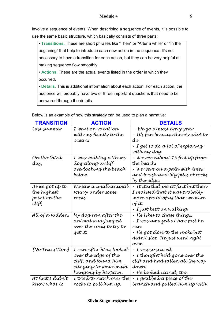involve a sequence of events. When describing a sequence of events, it is possible to use the same basic structure, which basically consists of three parts:

• Transitions. These are short phrases like "Then" or "After a while" or "In the beginningî that help to introduce each new action in the sequence. It's not necessary to have a transition for each action, but they can be very helpful at making sequence flow smoothly.

**• Actions.** These are the actual events listed in the order in which they occurred.

ï **Details.** This is additional information about each action. For each action, the audience will probably have two or three important questions that need to be answered through the details.

| <b>TRANSITION</b> | <b>ACTION</b>             | <b>DETAILS</b>                            |
|-------------------|---------------------------|-------------------------------------------|
| Last summer       | I went on vacation        | · We go almost every year.                |
|                   | wíth my famíly to the     | $\cdot$ It's fun because there's a lot to |
|                   | ocean.                    | do.                                       |
|                   |                           | $\cdot$ I get to do a lot of exploring    |
|                   |                           | wíth my dog.                              |
| On the thírd      | I was walking with my     | · We were about 75 feet up from           |
| day,              | dog along a clíff         | the beach.                                |
|                   | overlookíng the beach     | • We were on a path with trees            |
|                   | below.                    | and brush and bíg píles of rocks          |
|                   |                           | by the edge.                              |
| As we got up to   | We saw a small anímal     | . It startled me at first but then        |
| the híghest       | scurry under some         | I realísed that ít was probably           |
| point on the      | rocks.                    | more afraíd of us than we were            |
| clíff,            |                           | of ít.                                    |
|                   |                           | · I just kept on walking.                 |
| All of a sudden,  | My dog ran after the      | • He líkes to chase thíngs.               |
|                   | anímal and jumped         | • I was amazed at how fast he             |
|                   | over the rocks to try to  | ran.                                      |
|                   | get ít.                   | • He got close to the rocks but           |
|                   |                           | dídn't stop. He just went ríght           |
|                   |                           | over.                                     |
| [No Transítion]   | I ran after hím, looked   | . I was so scared.                        |
|                   | over the edge of the      | • I thought he'd gone over the            |
|                   | clíff, and found hím      | clíff and had fallen all the way          |
|                   | clíngíng to some brush    | down.                                     |
|                   | hangíng by hís þaws.      | . He looked scared, too.                  |
| At fírst I dídn't | I tríed to reach over the | · I grabbed a piece of the                |
| know what to      | rocks to pull hím up.     | branch and pulled hím up wíth             |

Below is an example of how this strategy can be used to plan a narrative: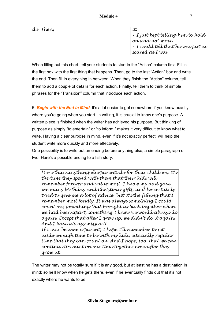$d\sigma$ . Then,  $\qquad \qquad$   $\vdots$ 

ï I just kept telling him to hold on and not move.  $\cdot$  I could tell that he was just as scared as I was

When filling out this chart, tell your students to start in the "Action" column first. Fill in the first box with the first thing that happens. Then, go to the last "Action" box and write the end. Then fill in everything in between. When they finish the "Action" column, tell them to add a couple of details for each action. Finally, tell them to think of simple phrases for the "Transition" column that introduce each action.

5. *Begin with the End in Mind*: Itís a lot easier to get somewhere if you know exactly where you're going when you start. In writing, it is crucial to know one's purpose. A written piece is finished when the writer has achieved his purpose. But thinking of purpose as simply "to entertain" or "to inform," makes it very difficult to know what to write. Having a clear purpose in mind, even if it's not exactly perfect, will help the student write more quickly and more effectively.

One possibility is to write out an ending before anything else, a simple paragraph or two. Here's a possible ending to a fish story:

More than anything else parents do for their children, it's the time they spend with them that their kids will remember forever and value most. I know my dad gave me many birthday and Christmas gifts, and he certainly tried to give me a lot of advice, but it's the fishing that I remember most fondly. It was always something I could count on, something that brought us back together when we had been apart, something I knew we would always do again. Except that after I grew up, we didnít do it again. And I have always missed it. If I ever become a parent, I hope I'll remember to set aside enough time to be with my kids, especially regular time that they can count on. And I hope, too, that we can continue to count on our time together even after they grow up.

The writer may not be totally sure if it is any good, but at least he has a destination in mind; so he'll know when he gets there, even if he eventually finds out that it's not exactly where he wants to be.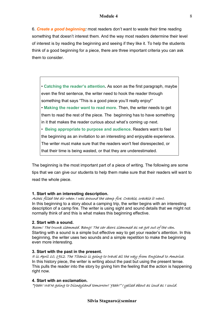6. *Create a good beginning:* most readers donít want to waste their time reading something that doesnít interest them. And the way most readers determine their level of interest is by reading the beginning and seeing if they like it. To help the students think of a good beginning for a piece, there are three important criteria you can ask them to consider.

• Catching the reader's attention. As soon as the first paragraph, maybe even the first sentence, the writer need to hook the reader through something that says "This is a good piece you'll really enjoy!" **• Making the reader want to read more. Then, the writer needs to get** them to read the rest of the piece. The beginning has to have something in it that makes the reader curious about what's coming up next. **Example in Being appropriate to purpose and audience. Readers want to feel** the beginning as an invitation to an interesting and enjoyable experience. The writer must make sure that the readers won't feel disrespected, or that their time is being wasted, or that they are underestimated.

The beginning is the most important part of a piece of writing. The following are some tips that we can give our students to help them make sure that their readers will want to read the whole piece.

#### **1. Start with an interesting description.**

#### Ashes filled the air when I was around the camp fire. Crackle, crackle it went.

In this beginning to a story about a camping trip, the writer begins with an interesting description of a camp fire. The writer is using sight and sound details that we might not normally think of and this is what makes this beginning effective.

#### **2. Start with a sound.**

Boom! The trunk slammed. Bang! The car doors slammed as we got out of the van. Starting with a sound is a simple but effective way to get your reader's attention. In this beginning, the writer uses two sounds and a simple repetition to make the beginning even more interesting.

#### **3. Start with the past in the present.**

It is April 10, 1912. The Titanic is going to travel all the way from England to America. In this history piece, the writer is writing about the past but using the present tense. This pulls the reader into the story by giving him the feeling that the action is happening right now.

#### **4. Start with an exclamation.**

ìYeah! Weíre going to Disneyland tomorrow! Yeah!î I yelled about as loud as I could.

8

#### **Silvia Stagnaro@seminar**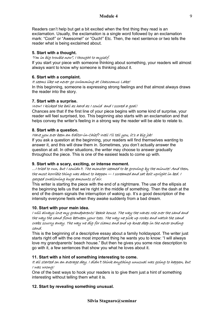Readers can't help but get a bit excited when the first thing they read is an exclamation. Usually, the exclamation is a single word followed by an exclamation mark: "Cool!" or "Awesome!" or "Ouch!" Etc. Then, the next sentence or two tells the reader what is being exclaimed about.

#### **5. Start with a thought.**

#### ìIím in big trouble nowî, I thought to myself.

If you start your piece with someone thinking about something, your readers will almost always want to know why someone is thinking about it.

#### **6. Start with a complaint.**

#### It seems like we never go swimming at Chascomus Lake!

In this beginning, someone is expressing strong feelings and that almost always draws the reader into the story.

# **7. Start with a surprise.**

# Wow! I kicked the ball as hard as I could and I scored a goal!

Chances are that if the first line of your piece begins with some kind of surprise, your reader will feel surprised, too. This beginning also starts with an exclamation and that helps convey the writerís feeling in a strong way the reader will be able to relate to.

# **8. Start with a question.**

# Have you ever been an Editor-in-Chief? Well I'll tell you, it's a big job!

If you ask a question at the beginning, your readers will find themselves wanting to answer it, and this will draw them in. Sometimes, you donít actually answer the question at all. In other situations, the writer may choose to answer gradually throughout the piece. This is one of the easiest leads to come up with.

#### **9. Start with a scary, exciting, or intense moment.**

#### ...I tried to run, but I couldn't. The monster seemed to be growing by the minute! And then, the most horrible thing was about to happen — I screamed and sat bolt upright in bed. I gasped swallowing huge amounts of air.

This writer is starting the piece with the end of a nightmare. The use of the ellipsis at the beginning tells us that we're right in the middle of something. Then the dash at the end of the dream signals the interruption of waking up. It's a good description of the intensity everyone feels when they awake suddenly from a bad dream.

#### **10. Start with your main idea.**

# I will always love my grandparentsí beach house. The way the waves role over the sand and the way the sand flows between your toes. The way we pick up rocks and watch the sand crabs scurry away. The way we dig for clams and end up knee deep in the never ending sand.

This is the beginning of a descriptive essay about a family holidayspot. The writer just starts right off with the one most important thing he wants you to know: "I will always love my grandparents' beach house." But then he gives you some nice description to go with it, a few sentences that show you what he loves about it.

#### **11. Start with a hint of something interesting to come.**

#### It all started on an average day. I didnít think anything unusual was going to happen, but I was wrong!

One of the best ways to hook your readers is to give them just a hint of something interesting without telling them what it is.

# **12. Start by revealing something unusual.**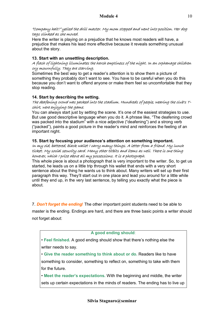#### ìCompany halt!î yelled the drill master. My mom stopped and went into position. Her dog tags clinked as she moved.

Here the writer is playing on a prejudice that he knows most readers will have, a prejudice that makes his lead more effective because it reveals something unusual about the story.

# **13. Start with an unsettling description.**

#### A flash of lightning illuminates the harsh emptiness of the night. In an orphanage children cry mournfully. They are starving.

Sometimes the best way to get a reader's attention is to show them a picture of something they probably donít want to see. You have to be careful when you do this because you donít want to offend anyone or make them feel so uncomfortable that they stop reading.

# **14. Start by describing the setting.**

# The deafening crowd was packed into the stadium. Hundreds of people, wearing the club's Tshirt, were enjoying the game.

You can always start just by setting the scene. It's one of the easiest strategies to use. But use good descriptive language when you do it. A phrase like, "The deafening crowd was packed into the stadium<sup>"</sup> with a nice adjective ("deafening") and a strong verb ("packed"), paints a good picture in the reader's mind and reinforces the feeling of an important night.

# **15. Start by focusing your audienceís attention on something important.**  In my old, battered, black wallet I carry many things. A letter from a friend. My lunch ticket. My social security card. Many other titbits and items as well. There is one thing however, which I prize above all my possessions. It is a photograph.

This whole piece is about a photograph that is very important to the writer. So, to get us started, he leads us on a little trip through his wallet that ends with a very short sentence about the thing he wants us to think about. Many writers will set up their first paragraph this way. Theyíll start out in one place and lead you around for a little while until they end up, in the very last sentence, by telling you exactly what the piece is about.

7. *Don't forget the ending*! The other important point students need to be able to

master is the ending. Endings are hard, and there are three basic points a writer should not forget about:

#### **A good ending should**:

**• Feel finished.** A good ending should show that there's nothing else the writer needs to say.

ï **Give the reader something to think about or do.** Readers like to have something to consider, something to reflect on, something to take with them for the future.

**• Meet the reader's expectations. With the beginning and middle, the writer** sets up certain expectations in the minds of readers. The ending has to live up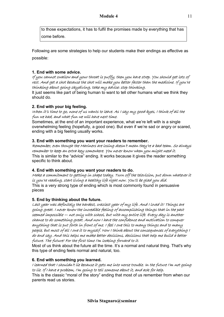to those expectations, it has to fulfil the promises made by everything that has come before.

Following are some strategies to help our students make their endings as effective as possible:

# **1. End with some advice.**

If you cannot swallow and your throat is puffy, then you have strep. You should get lots of rest. And get a shot because the shot will make you better faster than the medicine. If youíre thinking about going skydiving, take my advice: stop thinking.

It just seems like part of being human to want to tell other humans what we think they should do.

# **2. End with your big feeling.**

# When itís time to go, none of us wants to leave. As I say my good-byes, I think of all the fun we had, and what fun we will have next time.

Sometimes, at the end of an important experience, what we're left with is a single overwhelming feeling (hopefully, a good one). But even if weíre sad or angry or scared, ending with a big feeling usually works.

# **3. End with something you want your readers to remember.**

Remember, even though the Mariners are losing doesnít mean theyíre a bad team. So always remember to keep an extra key somewhere. You never know when you might need it. This is similar to the "advice" ending. It works because it gives the reader something specific to think about.

# **4. End with something you want your readers to do.**

Make a commitment to getting in shape today. Turn off the television, put down whatever it is youíre reading, start living a healthy life right now. Youíll be glad you did. This is a very strong type of ending which is most commonly found in persuasive pieces

# **5. End by thinking about the future.**

Last year was definitely the hardest, craziest year of my life. And I loved it! Things are going great. I never knew the incredible feeling of accomplishing things that in the past seemed impossible  $-$  not only with school, but with my entire life. Every day is another chance to do something great. And now I have the confidence and motivation to conquer anything that is put forth in front of me. I feel I owe this to many things and to many people, but most of all I owe it to myself. Now I think about the consequences of everything I do and say. And this helps me make better decisions, decisions that help me build a better future. The future! For the first time Iím looking forward to it.

Most of us think about the future all the time. Itís a normal and natural thing. That's why this type of ending feels normal and natural, too.

# **6. End with something you learned.**

# I learned that I shouldn't lie because it gets me into worse trouble. In the future I'm not going to lie. If I have a problem, Iím going to tell someone about it, and ask for help.

This is the classic "moral of the story" ending that most of us remember from when our parents read us stories.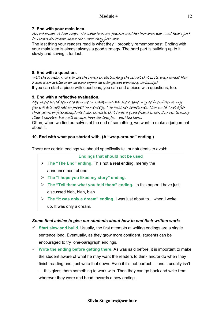# **7. End with your main idea.**

# An actor acts. A hero helps. The actor becomes famous and the hero does not. And that's just it: Heroes donít care about the credit, they just care.

The last thing your readers read is what theyíll probably remember best. Ending with your main idea is almost always a good strategy. The hard part is building up to it slowly and saving it for last.

# **8. End with a question.**

#### Will the human race ever see the irony in destroying the planet that is its only home? How much more evidence do we need before we take global warming seriously? If you can start a piece with questions, you can end a piece with questions, too.

# **9. End with a reflective evaluation.**

My whole world seems to be more on track now that sheís gone. My self-confidence, my general attitude has improved immensely. I do miss her sometimes. How could I not after three years of friendship? All I can think is that I was a good friend to her. Our relationship dídn't survive, but we'll always have the laughs... and the tears.

Often, when we find ourselves at the end of something, we want to make a judgement about it.

# **10. End with what you started with. (A "wrap-around" ending.)**

There are certain endings we should specifically tell our students to avoid:

**Endings that should not be used** 

- **The "The End" ending. This not a real ending, merely the** announcement of one.
- $\triangleright$  The "I hope you liked my story" ending.
- $\triangleright$  The "Tell them what you told them" ending. In this paper, I have just discussed blah, blah, blah...
- **Fig. 2 The "It was only a dream" ending. I was just about to... when I woke** up. It was only a dream.

# *Some final advice to give our students about how to end their written work:*

- $\checkmark$  Start slow and build. Usually, the first attempts at writing endings are a single sentence long. Eventually, as they grow more confident, students can be encouraged to try one-paragraph endings.
- $\checkmark$  Write the ending before getting there. As was said before, it is important to make the student aware of what he may want the readers to think and/or do when they finish reading and just write that down. Even if it's not perfect  $-$  and it usually isn't  $-$  this gives them something to work with. Then they can go back and write from wherever they were and head towards a new ending.